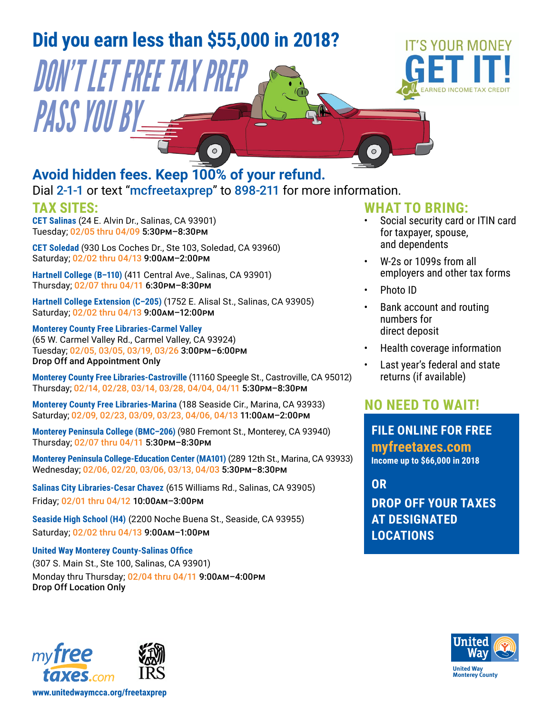

- W-2s or 1099s from all employers and other tax forms
- Photo ID
- Bank account and routing numbers for direct deposit
- Health coverage information
- Last year's federal and state returns (if available)

## **NO NEED TO WAIT!**

**FILE ONLINE FOR FREE [myfreetaxes.com](http://UNITEDWAY.ORG/myfreetaxes) Income up to \$66,000 in 2018**

**DROP OFF YOUR TAXES AT DESIGNATED LOCATIONS OR**



Monday thru Thursday; 02/04 thru 04/11 9:00am–4:00pm

**Hartnell College (B–110)** [\(411 Central Ave., Salinas, CA 93901\)](https://goo.gl/maps/ZEssbKhTkiJ2) 

**Hartnell College Extension (C–205)** [\(1752 E. Alisal St., Salinas, CA 93905\)](https://goo.gl/maps/Bt8YC2dHLhs)

Thursday; 02/14, 02/28, 03/14, 03/28, 04/04, 04/11 5:30pm–8:30pm

Wednesday; 02/06, 02/20, 03/06, 03/13, 04/03 5:30pm–8:30pm

**Salinas City Libraries-Cesar Chavez** [\(615 Williams Rd., Salinas, CA 93905\)](https://goo.gl/maps/hSot7Rv6XNv)

**Seaside High School (H4)** [\(2200 Noche Buena St., Seaside, CA 93955\)](https://goo.gl/maps/xmxgqv7P2nD2)

**Monterey County Free Libraries-Marina** [\(188 Seaside Cir., Marina, CA 93933\)](https://goo.gl/maps/RCMPj4nxx2R2) Saturday; 02/09, 02/23, 03/09, 03/23, 04/06, 04/13 11:00am–2:00pm

**Monterey Peninsula College (BMC–206)** [\(980 Fremont St., Monterey, CA 93940\)](https://goo.gl/maps/KGoshJc1PjM2)

**Monterey County Free Libraries-Castroville** [\(11160 Speegle St., Castroville, CA 95012\)](https://goo.gl/maps/XTMDAkuUH512)

**[Monterey Peninsula College-Education Center \(MA101\)](https://goo.gl/maps/u1UXCtVvjUN2)** (289 12th St., Marina, CA 93933)

Thursday; 02/07 thru 04/11 6:30pm–8:30pm

Saturday; 02/02 thru 04/13 9:00am–12:00pm **[Monterey County Free Libraries-Carmel Valley](https://goo.gl/maps/Ua2bDCXd3hD2/)**

Thursday; 02/07 thru 04/11 5:30pm–8:30pm

Friday; 02/01 thru 04/12 10:00am–3:00pm

Saturday; 02/02 thru 04/13 9:00am–1:00pm

**[United Way Monterey County-Salinas Office](https://goo.gl/maps/Bob81ksmHxt)** [\(307 S. Main St., Ste 100, Salinas, CA 93901\)](https://goo.gl/maps/Bob81ksmHxt)

Drop Off and Appointment Only

(65 W. Carmel Valley Rd., Carmel Valley, CA 93924) Tuesday; 02/05, 03/05, 03/19, 03/26 3:00pm–6:00pm



**[www.unitedwaymcca.org/freetaxprep](http://www.unitedwaymcca.org/freetaxprep)**

Drop Off Location Only

taxes.com